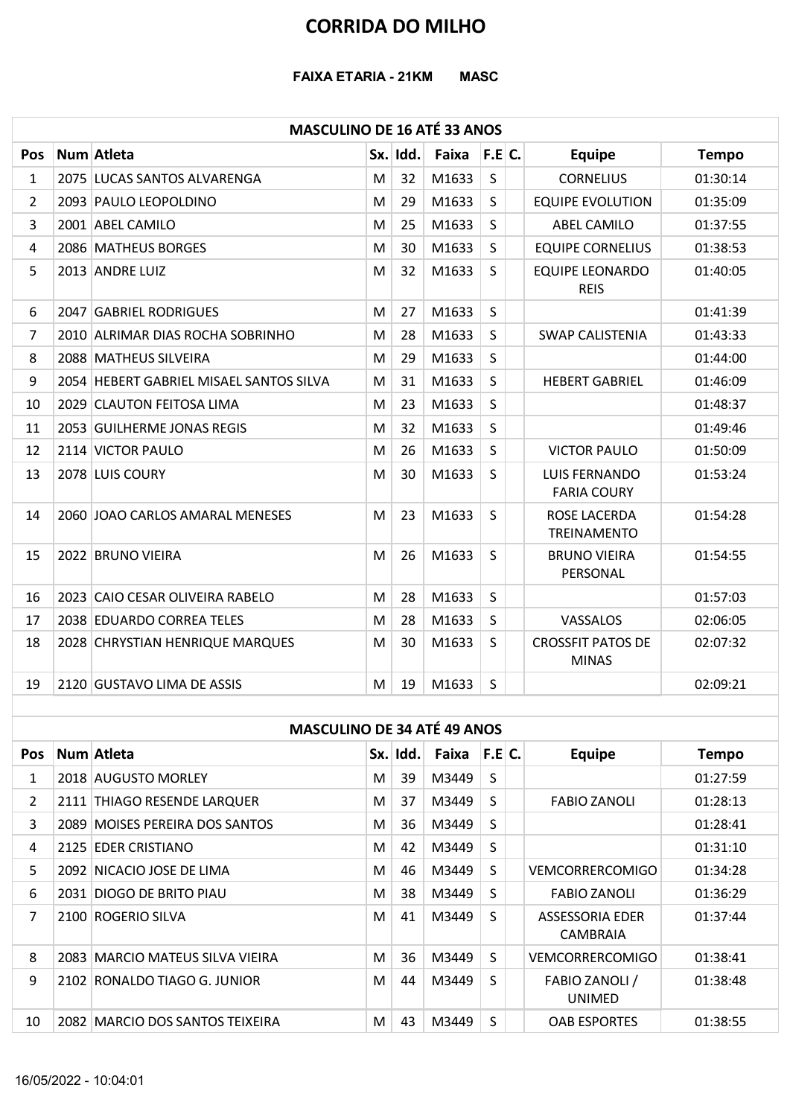## CORRIDA DO MILHO

### MASCULINO DE 16 ATÉ 33 ANOS

|                | <b>CORRIDA DO MILHO</b>                 |   |          |                  |              |                                            |              |
|----------------|-----------------------------------------|---|----------|------------------|--------------|--------------------------------------------|--------------|
|                |                                         |   |          |                  |              |                                            |              |
|                | <b>FAIXA ETARIA - 21KM</b>              |   |          | <b>MASC</b>      |              |                                            |              |
|                |                                         |   |          |                  |              |                                            |              |
|                | <b>MASCULINO DE 16 ATÉ 33 ANOS</b>      |   |          |                  |              |                                            |              |
| <b>Pos</b>     | Num Atleta                              |   | Sx. Idd. | Faixa            | F.E.C.       | <b>Equipe</b>                              | <b>Tempo</b> |
| 1              | 2075 LUCAS SANTOS ALVARENGA             | M | 32       | M1633            | $\mathsf{S}$ | <b>CORNELIUS</b>                           | 01:30:14     |
| 2              | 2093 PAULO LEOPOLDINO                   | M | 29       | M1633            | $\mathsf{S}$ | <b>EQUIPE EVOLUTION</b>                    | 01:35:09     |
| $\mathbf{3}$   | 2001 ABEL CAMILO                        | M | 25       | M1633            | S            | <b>ABEL CAMILO</b>                         | 01:37:55     |
| 4              | 2086 MATHEUS BORGES                     | M | 30       | M1633            | $\mathsf{S}$ | <b>EQUIPE CORNELIUS</b>                    | 01:38:53     |
| 5              | 2013 ANDRE LUIZ                         | M | 32       | M1633            | S            | <b>EQUIPE LEONARDO</b><br><b>REIS</b>      | 01:40:05     |
| 6              | 2047 GABRIEL RODRIGUES                  | M | 27       | M1633            | S            |                                            | 01:41:39     |
| $\overline{7}$ | 2010 ALRIMAR DIAS ROCHA SOBRINHO        | M | 28       | M1633            | S            | <b>SWAP CALISTENIA</b>                     | 01:43:33     |
| 8              | 2088 MATHEUS SILVEIRA                   | M | 29       | M1633            | S            |                                            | 01:44:00     |
| 9              | 2054 HEBERT GABRIEL MISAEL SANTOS SILVA | M | 31       | M1633            | S            | <b>HEBERT GABRIEL</b>                      | 01:46:09     |
| 10             | 2029 CLAUTON FEITOSA LIMA               | M | 23       | M1633            | S            |                                            | 01:48:37     |
| 11             | 2053 GUILHERME JONAS REGIS              | M | 32       | M1633            | S            |                                            | 01:49:46     |
| 12             | 2114 VICTOR PAULO                       | M | 26       | M1633            | S            | <b>VICTOR PAULO</b>                        | 01:50:09     |
| 13             | 2078 LUIS COURY                         | M | 30       | $M1633$ S        |              | <b>LUIS FERNANDO</b><br><b>FARIA COURY</b> | 01:53:24     |
| 14             | 2060 JOAO CARLOS AMARAL MENESES         | M | 23       | M1633            | S.           | ROSE LACERDA<br><b>TREINAMENTO</b>         | 01:54:28     |
| 15             | 2022 BRUNO VIEIRA                       | M | 26       | M1633            | S            | <b>BRUNO VIEIRA</b><br>PERSONAL            | 01:54:55     |
| 16             | 2023 CAIO CESAR OLIVEIRA RABELO         | M | 28       | M1633            | S            |                                            | 01:57:03     |
| 17             | 2038 EDUARDO CORREA TELES               | M | 28       | M1633            | S            | VASSALOS                                   | 02:06:05     |
| 18             | 2028 CHRYSTIAN HENRIQUE MARQUES         | M | 30       | M1633            | S.           | <b>CROSSFIT PATOS DE</b><br><b>MINAS</b>   | 02:07:32     |
| 19             | 2120 GUSTAVO LIMA DE ASSIS              | M | 19       | M1633            | $\mathsf{S}$ |                                            | 02:09:21     |
|                | <b>MASCULINO DE 34 ATÉ 49 ANOS</b>      |   |          |                  |              |                                            |              |
| Pos            | Num Atleta                              |   | Sx. Idd. | Faixa $ F.E C$ . |              | <b>Equipe</b>                              | <b>Tempo</b> |
| $\mathbf{1}$   | 2018 AUGUSTO MORLEY                     | M | 39       | M3449            | S            |                                            | 01:27:59     |
| $\mathbf{2}$   | 2111 THIAGO RESENDE LARQUER             | M | 37       | M3449            | S            | <b>FABIO ZANOLI</b>                        | 01:28:13     |
| 3              | 2089 MOISES PEREIRA DOS SANTOS          | M | 36       | M3449            | S            |                                            | 01:28:41     |
| 4              | 2125 EDER CRISTIANO                     | M | 42       | M3449            | S            |                                            | 01:31:10     |
| 5              | 2092 NICACIO JOSE DE LIMA               | M | 46       | M3449            | S            | <b>VEMCORRERCOMIGO</b>                     | 01:34:28     |
| 6              | 2031 DIOGO DE BRITO PIAU                | M | 38       | M3449            | S            | <b>FABIO ZANOLI</b>                        | 01:36:29     |
| 7              | 2100 ROGERIO SILVA                      | M | 41       | $M3449$ S        |              | ASSESSORIA EDER                            | 01:37:44     |
|                |                                         |   |          |                  |              |                                            |              |

#### MASCULINO DE 34 ATÉ 49 ANOS

| 14             | <b>2060 JOAO CARLOS AMARAL MENESES</b> | IVI I | 23       | NID33   S |              | RUSE LACERDA<br>TREINAMENTO              | 01:54:28     |
|----------------|----------------------------------------|-------|----------|-----------|--------------|------------------------------------------|--------------|
| 15             | 2022 BRUNO VIEIRA                      | M     | 26       | M1633     | <sub>S</sub> | <b>BRUNO VIEIRA</b><br>PERSONAL          | 01:54:55     |
| 16             | 2023 CAIO CESAR OLIVEIRA RABELO        | M     | 28       | M1633     | S            |                                          | 01:57:03     |
| 17             | 2038 EDUARDO CORREA TELES              | M     | 28       | M1633     | S            | VASSALOS                                 | 02:06:05     |
| 18             | 2028 CHRYSTIAN HENRIQUE MARQUES        | M     | 30       | M1633     | S            | <b>CROSSFIT PATOS DE</b><br><b>MINAS</b> | 02:07:32     |
| 19             | 2120 GUSTAVO LIMA DE ASSIS             | M     | 19       | M1633     | $\mathsf{S}$ |                                          | 02:09:21     |
|                |                                        |       |          |           |              |                                          |              |
|                | <b>MASCULINO DE 34 ATÉ 49 ANOS</b>     |       |          |           |              |                                          |              |
| <b>Pos</b>     | Num Atleta                             |       | Sx. Idd. | Faixa     | F.E C.       | <b>Equipe</b>                            | <b>Tempo</b> |
| 1              | 2018 AUGUSTO MORLEY                    | M     | 39       | M3449     | S            |                                          | 01:27:59     |
| $\mathbf{2}$   | 2111 THIAGO RESENDE LARQUER            | M     | 37       | M3449     | S            | <b>FABIO ZANOLI</b>                      | 01:28:13     |
| 3              | 2089 MOISES PEREIRA DOS SANTOS         | м     | 36       | M3449     | S            |                                          | 01:28:41     |
| 4              | 2125 EDER CRISTIANO                    | М     | 42       | M3449     | S            |                                          | 01:31:10     |
| 5.             | 2092 NICACIO JOSE DE LIMA              | M     | 46       | M3449     | $\mathsf{S}$ | <b>VEMCORRERCOMIGO</b>                   | 01:34:28     |
| 6              | 2031 DIOGO DE BRITO PIAU               | M     | 38       | M3449     | S.           | <b>FABIO ZANOLI</b>                      | 01:36:29     |
| $\overline{7}$ | 2100 ROGERIO SILVA                     | М     | 41       | M3449     | S            | ASSESSORIA EDER<br>CAMBRAIA              | 01:37:44     |
| 8              | 2083 MARCIO MATEUS SILVA VIEIRA        | M     | 36       | M3449     | $\mathsf{S}$ | VEMCORRERCOMIGO                          | 01:38:41     |
| 9              | 2102 RONALDO TIAGO G. JUNIOR           | M     | 44       | M3449     | S            | FABIO ZANOLI /<br><b>UNIMED</b>          | 01:38:48     |
| 10             | 2082 MARCIO DOS SANTOS TEIXEIRA        | M     | 43       | M3449     | S            | <b>OAB ESPORTES</b>                      | 01:38:55     |
|                | 16/05/2022 - 10:04:01                  |       |          |           |              |                                          |              |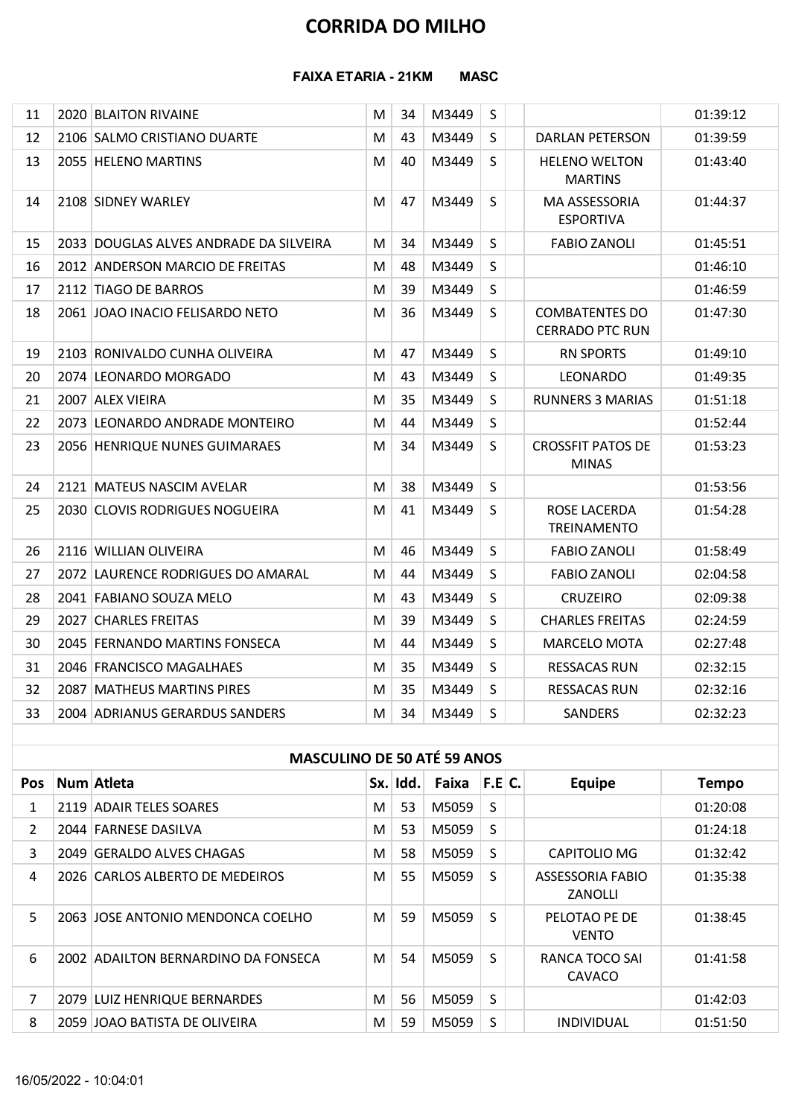# CORRIDA DO MILHO

#### FAIXA ETARIA - 21KM MASC

|                |                                        |   |          | <b>CORRIDA DO MILHO</b> |         |                                                 |              |
|----------------|----------------------------------------|---|----------|-------------------------|---------|-------------------------------------------------|--------------|
|                |                                        |   |          |                         |         |                                                 |              |
|                | <b>FAIXA ETARIA - 21KM</b>             |   |          | <b>MASC</b>             |         |                                                 |              |
| 11             | 2020 BLAITON RIVAINE                   | M | 34       | M3449                   | S       |                                                 | 01:39:12     |
| 12             | 2106 SALMO CRISTIANO DUARTE            | M | 43       | M3449                   | S       | <b>DARLAN PETERSON</b>                          | 01:39:59     |
| 13             | 2055 HELENO MARTINS                    | M | 40       | M3449                   | S       | <b>HELENO WELTON</b><br><b>MARTINS</b>          | 01:43:40     |
| 14             | 2108 SIDNEY WARLEY                     | M | 47       | M3449                   | S.      | MA ASSESSORIA<br><b>ESPORTIVA</b>               | 01:44:37     |
| 15             | 2033 DOUGLAS ALVES ANDRADE DA SILVEIRA | M | 34       | M3449                   | S       | <b>FABIO ZANOLI</b>                             | 01:45:51     |
| 16             | 2012 ANDERSON MARCIO DE FREITAS        | M | 48       | M3449                   | S       |                                                 | 01:46:10     |
| 17             | 2112 TIAGO DE BARROS                   | M | 39       | M3449                   | S       |                                                 | 01:46:59     |
| 18             | 2061 JOAO INACIO FELISARDO NETO        | M | 36       | M3449                   | S       | <b>COMBATENTES DO</b><br><b>CERRADO PTC RUN</b> | 01:47:30     |
| 19             | 2103 RONIVALDO CUNHA OLIVEIRA          | M | 47       | M3449                   | S       | <b>RN SPORTS</b>                                | 01:49:10     |
| 20             | 2074 LEONARDO MORGADO                  | M | 43       | M3449                   | $\sf S$ | LEONARDO                                        | 01:49:35     |
| 21             | 2007 ALEX VIEIRA                       | M | 35       | M3449                   | S       | <b>RUNNERS 3 MARIAS</b>                         | 01:51:18     |
| 22             | 2073 LEONARDO ANDRADE MONTEIRO         | M | 44       | M3449                   | S       |                                                 | 01:52:44     |
| 23             | 2056 HENRIQUE NUNES GUIMARAES          | M | 34       | M3449                   | S       | <b>CROSSFIT PATOS DE</b><br><b>MINAS</b>        | 01:53:23     |
| 24             | 2121 MATEUS NASCIM AVELAR              | M | 38       | M3449                   | S       |                                                 | 01:53:56     |
| 25             | 2030 CLOVIS RODRIGUES NOGUEIRA         | M | 41       | M3449                   | S.      | ROSE LACERDA<br><b>TREINAMENTO</b>              | 01:54:28     |
| 26             | 2116 WILLIAN OLIVEIRA                  | M | 46       | M3449                   | S       | <b>FABIO ZANOLI</b>                             | 01:58:49     |
| 27             | 2072 LAURENCE RODRIGUES DO AMARAL      | M | 44       | M3449                   | S       | <b>FABIO ZANOLI</b>                             | 02:04:58     |
| 28             | 2041 FABIANO SOUZA MELO                | M | 43       | M3449                   | S       | <b>CRUZEIRO</b>                                 | 02:09:38     |
| 29             | 2027 CHARLES FREITAS                   | M | 39       | M3449                   | S       | <b>CHARLES FREITAS</b>                          | 02:24:59     |
| 30             | 2045 FERNANDO MARTINS FONSECA          | M | 44       | M3449                   | S       | MARCELO MOTA                                    | 02:27:48     |
| 31             | 2046 FRANCISCO MAGALHAES               | M | 35       | M3449                   | S       | <b>RESSACAS RUN</b>                             | 02:32:15     |
| 32             | 2087 MATHEUS MARTINS PIRES             | M | 35       | M3449                   | S       | <b>RESSACAS RUN</b>                             | 02:32:16     |
| 33             | 2004 ADRIANUS GERARDUS SANDERS         | M | 34       | M3449                   | S       | <b>SANDERS</b>                                  | 02:32:23     |
|                | <b>MASCULINO DE 50 ATÉ 59 ANOS</b>     |   |          |                         |         |                                                 |              |
| Pos            | Num Atleta                             |   | Sx. Idd. | Faixa $ F.E C$ .        |         | <b>Equipe</b>                                   | <b>Tempo</b> |
| 1              | 2119 ADAIR TELES SOARES                | M | 53       | M5059                   | S       |                                                 | 01:20:08     |
| $\overline{2}$ | 2044 FARNESE DASILVA                   | M | 53       | M5059                   | S       |                                                 | 01:24:18     |
| 3              | 2049 GERALDO ALVES CHAGAS              | M | 58       | M5059                   | S       | CAPITOLIO MG                                    | 01:32:42     |
| 4              | 2026 CARLOS ALBERTO DE MEDEIROS        | M | 55       | M5059                   | S       | <b>ASSESSORIA FABIO</b><br>ZANOLLI              | 01:35:38     |
| 5              | 2063 JOSE ANTONIO MENDONCA COELHO      | M | 59       | M5059                   | S       | PELOTAO PE DE<br><b>VENTO</b>                   | 01:38:45     |
|                |                                        |   |          |                         |         |                                                 |              |

| 27          | 2116 WILLIAN OLIVEIRA               | M | 46       | M3449        | S  | <b>FABIO ZANOLI</b>                | 01:58:49     |
|-------------|-------------------------------------|---|----------|--------------|----|------------------------------------|--------------|
|             | 2072 LAURENCE RODRIGUES DO AMARAL   | M | 44       | M3449        | S. | <b>FABIO ZANOLI</b>                | 02:04:58     |
| 28          | 2041 FABIANO SOUZA MELO             | M | 43       | M3449        | S. | <b>CRUZEIRO</b>                    | 02:09:38     |
| 29          | 2027 CHARLES FREITAS                | M | 39       | M3449        | S  | <b>CHARLES FREITAS</b>             | 02:24:59     |
| 30          | 2045 FERNANDO MARTINS FONSECA       | M | 44       | M3449        | S. | MARCELO MOTA                       | 02:27:48     |
| 31          | 2046 FRANCISCO MAGALHAES            | M | 35       | M3449        | S. | <b>RESSACAS RUN</b>                | 02:32:15     |
| 32          | 2087 MATHEUS MARTINS PIRES          | M | 35       | M3449        | S  | <b>RESSACAS RUN</b>                | 02:32:16     |
| 33          | 2004 ADRIANUS GERARDUS SANDERS      | M | 34       | M3449        | S. | <b>SANDERS</b>                     | 02:32:23     |
|             |                                     |   |          |              |    |                                    |              |
|             | <b>MASCULINO DE 50 ATÉ 59 ANOS</b>  |   |          |              |    |                                    |              |
| <b>Pos</b>  | Num Atleta                          |   | Sx. Idd. | Faixa F.E C. |    | <b>Equipe</b>                      | <b>Tempo</b> |
| 1           | 2119 ADAIR TELES SOARES             | M | 53       | M5059        | S. |                                    | 01:20:08     |
| 2           | 2044 FARNESE DASILVA                | M | 53       | M5059        | S  |                                    | 01:24:18     |
| 3           | 2049 GERALDO ALVES CHAGAS           | M | 58       | M5059        | S  | CAPITOLIO MG                       | 01:32:42     |
| 4           | 2026 CARLOS ALBERTO DE MEDEIROS     | M | 55       | M5059        | S. | <b>ASSESSORIA FABIO</b><br>ZANOLLI | 01:35:38     |
| 5           | 2063 JOSE ANTONIO MENDONCA COELHO   | M | 59       | M5059        | S. | PELOTAO PE DE<br><b>VENTO</b>      | 01:38:45     |
| 6           | 2002 ADAILTON BERNARDINO DA FONSECA | M | 54       | M5059        | S  | RANCA TOCO SAI<br>CAVACO           | 01:41:58     |
| $7^{\circ}$ | 2079 LUIZ HENRIQUE BERNARDES        | M | 56       | M5059        | S  |                                    | 01:42:03     |
| 8           | 2059 JOAO BATISTA DE OLIVEIRA       | M | 59       | M5059        | S  | <b>INDIVIDUAL</b>                  | 01:51:50     |